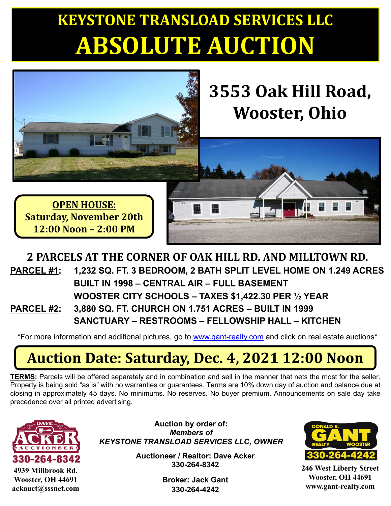# **KEYSTONE TRANSLOAD SERVICES LLC ABSOLUTE AUCTION**



#### **2 PARCELS AT THE CORNER OF OAK HILL RD. AND MILLTOWN RD. PARCEL #1: 1,232 SQ. FT. 3 BEDROOM, 2 BATH SPLIT LEVEL HOME ON 1.249 ACRES BUILT IN 1998 – CENTRAL AIR – FULL BASEMENT WOOSTER CITY SCHOOLS – TAXES \$1,422.30 PER ½ YEAR PARCEL #2: 3,880 SQ. FT. CHURCH ON 1.751 ACRES – BUILT IN 1999 SANCTUARY – RESTROOMS – FELLOWSHIP HALL – KITCHEN**

\*For more information and additional pictures, go to [www.gant-realty.com](http://www.gant-realty.com/) and click on real estate auctions\*

### Auction Date: Saturday, Dec. 4, 2021 12:00 Noon

**TERMS:** Parcels will be offered separately and in combination and sell in the manner that nets the most for the seller. Property is being sold "as is" with no warranties or guarantees. Terms are 10% down day of auction and balance due at closing in approximately 45 days. No minimums. No reserves. No buyer premium. Announcements on sale day take precedence over all printed advertising.



**4939 Millbrook Rd. Wooster, OH 44691 ackauct@sssnet.com**

**Auction by order of:** *Members of KEYSTONE TRANSLOAD SERVICES LLC, OWNER*

> **Auctioneer / Realtor: Dave Acker 330-264-8342**

> > **Broker: Jack Gant 330-264-4242**



**246 West Liberty Street Wooster, OH 44691 www.gant-realty.com**